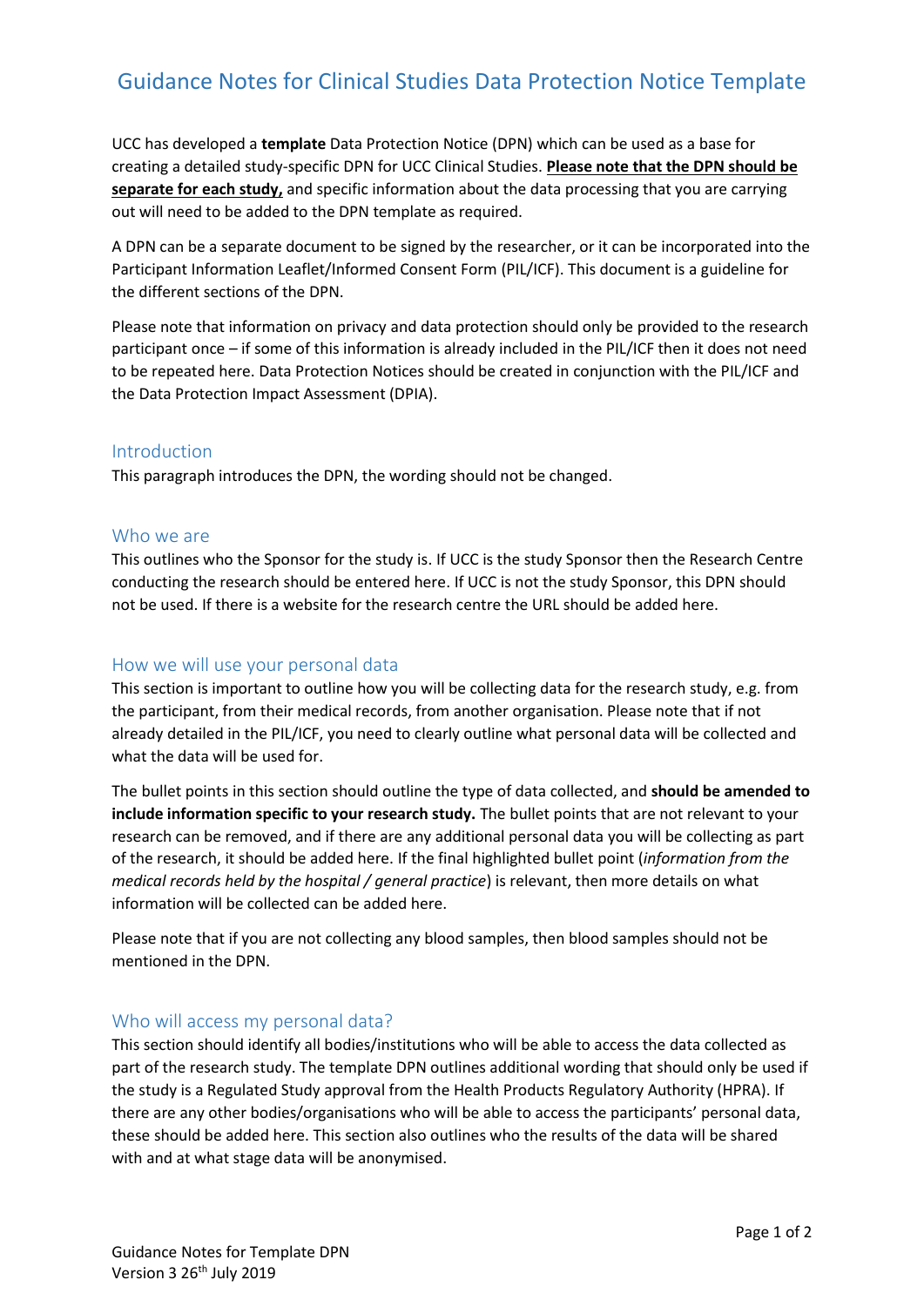# Guidance Notes for Clinical Studies Data Protection Notice Template

UCC has developed a **template** Data Protection Notice (DPN) which can be used as a base for creating a detailed study-specific DPN for UCC Clinical Studies. **Please note that the DPN should be separate for each study,** and specific information about the data processing that you are carrying out will need to be added to the DPN template as required.

A DPN can be a separate document to be signed by the researcher, or it can be incorporated into the Participant Information Leaflet/Informed Consent Form (PIL/ICF). This document is a guideline for the different sections of the DPN.

Please note that information on privacy and data protection should only be provided to the research participant once – if some of this information is already included in the PIL/ICF then it does not need to be repeated here. Data Protection Notices should be created in conjunction with the PIL/ICF and the Data Protection Impact Assessment (DPIA).

## Introduction

This paragraph introduces the DPN, the wording should not be changed.

#### Who we are

This outlines who the Sponsor for the study is. If UCC is the study Sponsor then the Research Centre conducting the research should be entered here. If UCC is not the study Sponsor, this DPN should not be used. If there is a website for the research centre the URL should be added here.

## How we will use your personal data

This section is important to outline how you will be collecting data for the research study, e.g. from the participant, from their medical records, from another organisation. Please note that if not already detailed in the PIL/ICF, you need to clearly outline what personal data will be collected and what the data will be used for.

The bullet points in this section should outline the type of data collected, and **should be amended to include information specific to your research study.** The bullet points that are not relevant to your research can be removed, and if there are any additional personal data you will be collecting as part of the research, it should be added here. If the final highlighted bullet point (*information from the medical records held by the hospital / general practice*) is relevant, then more details on what information will be collected can be added here.

Please note that if you are not collecting any blood samples, then blood samples should not be mentioned in the DPN.

## Who will access my personal data?

This section should identify all bodies/institutions who will be able to access the data collected as part of the research study. The template DPN outlines additional wording that should only be used if the study is a Regulated Study approval from the Health Products Regulatory Authority (HPRA). If there are any other bodies/organisations who will be able to access the participants' personal data, these should be added here. This section also outlines who the results of the data will be shared with and at what stage data will be anonymised.